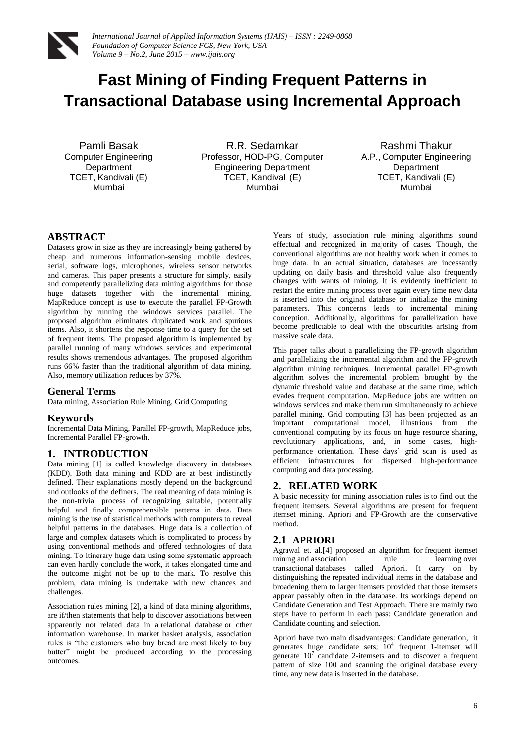

# **Fast Mining of Finding Frequent Patterns in Transactional Database using Incremental Approach**

Pamli Basak Computer Engineering **Department** TCET, Kandivali (E) Mumbai

R.R. Sedamkar Professor, HOD-PG, Computer Engineering Department TCET, Kandivali (E) Mumbai

Rashmi Thakur A.P., Computer Engineering Department TCET, Kandivali (E) Mumbai

# **ABSTRACT**

Datasets grow in size as they are increasingly being gathered by cheap and numerous information-sensing [mobile devices,](http://en.wikipedia.org/wiki/Mobile_device)  aerial, software logs, microphones, [wireless sensor networks](http://en.wikipedia.org/wiki/Wireless_sensor_networks) and [cameras.](http://en.wikipedia.org/wiki/Digital_camera) This paper presents a structure for simply, easily and competently parallelizing data mining algorithms for those huge datasets together with the incremental mining. MapReduce concept is use to execute the parallel FP-Growth algorithm by running the windows services parallel. The proposed algorithm eliminates duplicated work and spurious items. Also, it shortens the response time to a query for the set of frequent items. The proposed algorithm is implemented by parallel running of many windows services and experimental results shows tremendous advantages. The proposed algorithm runs 66% faster than the traditional algorithm of data mining. Also, memory utilization reduces by 37%.

# **General Terms**

Data mining, Association Rule Mining, Grid Computing

## **Keywords**

Incremental Data Mining, Parallel FP-growth, MapReduce jobs, Incremental Parallel FP-growth.

## **1. INTRODUCTION**

Data mining [1] is called knowledge discovery in databases (KDD). Both data mining and KDD are at best indistinctly defined. Their explanations mostly depend on the background and outlooks of the definers. The real meaning of data mining is the non-trivial process of recognizing suitable, potentially helpful and finally comprehensible patterns in data. Data mining is the use of statistical methods with computers to reveal helpful patterns in the databases. Huge data is a collection of large and complex datasets which is complicated to process by using conventional methods and offered technologies of data mining. To itinerary huge data using some systematic approach can even hardly conclude the work, it takes elongated time and the outcome might not be up to the mark. To resolve this problem, data mining is undertake with new chances and challenges.

Association rules mining [2], a kind of data mining algorithms, are if/then statements that help to discover associations between apparently not related data in a [relational database](http://searchsqlserver.techtarget.com/definition/relational-database) or other information warehouse. In market basket analysis, association rules is "the customers who buy bread are most likely to buy butter" might be produced according to the processing outcomes.

Years of study, association rule mining algorithms sound effectual and recognized in majority of cases. Though, the conventional algorithms are not healthy work when it comes to huge data. In an actual situation, databases are incessantly updating on daily basis and threshold value also frequently changes with wants of mining. It is evidently inefficient to restart the entire mining process over again every time new data is inserted into the original database or initialize the mining parameters. This concerns leads to incremental mining conception. Additionally, algorithms for parallelization have become predictable to deal with the obscurities arising from massive scale data.

This paper talks about a parallelizing the FP-growth algorithm and parallelizing the incremental algorithm and the FP-growth algorithm mining techniques. Incremental parallel FP-growth algorithm solves the incremental problem brought by the dynamic threshold value and database at the same time, which evades frequent computation. MapReduce jobs are written on windows services and make them run simultaneously to achieve parallel mining. Grid computing [3] has been projected as an important computational model, illustrious from the conventional computing by its focus on huge resource sharing, revolutionary applications, and, in some cases, highperformance orientation. These days' grid scan is used as efficient infrastructures for dispersed high-performance computing and data processing.

# **2. RELATED WORK**

A basic necessity for mining association rules is to find out the frequent itemsets. Several algorithms are present for frequent itemset mining. Apriori and FP-Growth are the conservative method.

## **2.1 APRIORI**

Agrawal et. al.[4] proposed an algorithm for [frequent itemset](http://en.wikipedia.org/w/index.php?title=Frequent_item_set_mining&action=edit&redlink=1) [mining](http://en.wikipedia.org/w/index.php?title=Frequent_item_set_mining&action=edit&redlink=1) and association rule rule learning over transactional [databases](http://en.wikipedia.org/wiki/Databases) called Apriori. It carry on by distinguishing the repeated individual items in the database and broadening them to larger itemsets provided that those itemsets appear passably often in the database. Its workings depend on Candidate Generation and Test Approach. There are mainly two steps have to perform in each pass: Candidate generation and Candidate counting and selection.

Apriori have two main disadvantages: Candidate generation, it generates huge candidate sets;  $10^4$  frequent 1-itemset will generate  $10^7$  candidate 2-itemsets and to discover a frequent pattern of size 100 and scanning the original database every time, any new data is inserted in the database.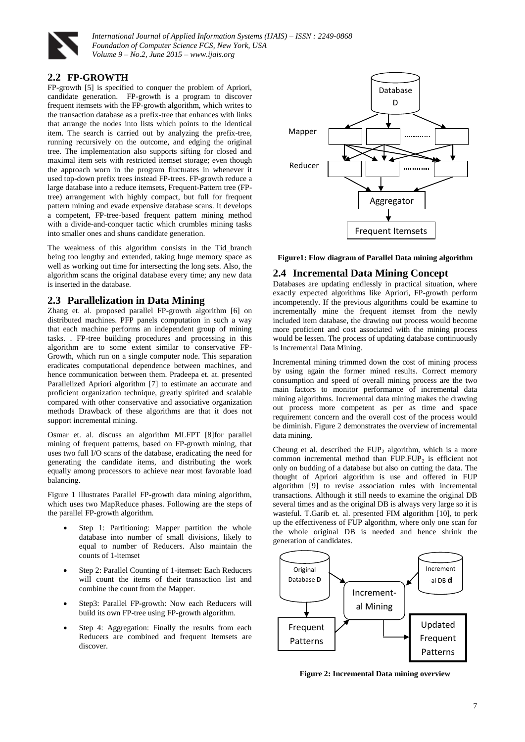

*International Journal of Applied Information Systems (IJAIS) – ISSN : 2249-0868 Foundation of Computer Science FCS, New York, USA Volume 9 – No.2, June 2015 – www.ijais.org*

## **2.2 FP-GROWTH**

FP-growth [5] is specified to conquer the problem of Apriori, candidate generation. FP-growth is a program to discover frequent itemsets with the FP-growth algorithm, which writes to the transaction database as a prefix-tree that enhances with links that arrange the nodes into lists which points to the identical item. The search is carried out by analyzing the prefix-tree, running recursively on the outcome, and edging the original tree. The implementation also supports sifting for closed and maximal item sets with restricted itemset storage; even though the approach worn in the program fluctuates in whenever it used top-down prefix trees instead FP-trees. FP-growth reduce a large database into a reduce itemsets, Frequent-Pattern tree (FPtree) arrangement with highly compact, but full for frequent pattern mining and evade expensive database scans. It develops a competent, FP-tree-based frequent pattern mining method with a divide-and-conquer tactic which crumbles mining tasks into smaller ones and shuns candidate generation.

The weakness of this algorithm consists in the Tid\_branch being too lengthy and extended, taking huge memory space as well as working out time for intersecting the long sets. Also, the algorithm scans the original database every time; any new data is inserted in the database.

#### **2.3 Parallelization in Data Mining**

Zhang et. al. proposed parallel FP-growth algorithm [6] on distributed machines. PFP panels computation in such a way that each machine performs an independent group of mining tasks. . FP-tree building procedures and processing in this algorithm are to some extent similar to conservative FP-Growth, which run on a single computer node. This separation eradicates computational dependence between machines, and hence communication between them. Pradeepa et. at. presented Parallelized Apriori algorithm [7] to estimate an accurate and proficient organization technique, greatly spirited and scalable compared with other conservative and associative organization methods Drawback of these algorithms are that it does not support incremental mining.

Osmar et. al. discuss an algorithm MLFPT [8]for parallel mining of frequent patterns, based on FP-growth mining, that uses two full I/O scans of the database, eradicating the need for generating the candidate items, and distributing the work equally among processors to achieve near most favorable load balancing.

Figure 1 illustrates Parallel FP-growth data mining algorithm, which uses two MapReduce phases. Following are the steps of the parallel FP-growth algorithm.

- Step 1: Partitioning: Mapper partition the whole database into number of small divisions, likely to equal to number of Reducers. Also maintain the counts of 1-itemset
- Step 2: Parallel Counting of 1-itemset: Each Reducers will count the items of their transaction list and combine the count from the Mapper.
- Step3: Parallel FP-growth: Now each Reducers will build its own FP-tree using FP-growth algorithm.
- Step 4: Aggregation: Finally the results from each Reducers are combined and frequent Itemsets are discover.



**Figure1: Flow diagram of Parallel Data mining algorithm**

#### **2.4 Incremental Data Mining Concept**

Databases are updating endlessly in practical situation, where exactly expected algorithms like Apriori, FP-growth perform incompetently. If the previous algorithms could be examine to incrementally mine the frequent itemset from the newly included item database, the drawing out process would become more proficient and cost associated with the mining process would be lessen. The process of updating database continuously is Incremental Data Mining.

Incremental mining trimmed down the cost of mining process by using again the former mined results. Correct memory consumption and speed of overall mining process are the two main factors to monitor performance of incremental data mining algorithms. Incremental data mining makes the drawing out process more competent as per as time and space requirement concern and the overall cost of the process would be diminish. Figure 2 demonstrates the overview of incremental data mining.

Cheung et al. described the  $FUP_2$  algorithm, which is a more common incremental method than  $FUP.FUP_2$  is efficient not only on budding of a database but also on cutting the data. The thought of Apriori algorithm is use and offered in FUP algorithm [9] to revise association rules with incremental transactions. Although it still needs to examine the original DB several times and as the original DB is always very large so it is wasteful. T.Garib et. al. presented FIM algorithm [10], to perk up the effectiveness of FUP algorithm, where only one scan for the whole original DB is needed and hence shrink the generation of candidates.



**Figure 2: Incremental Data mining overview**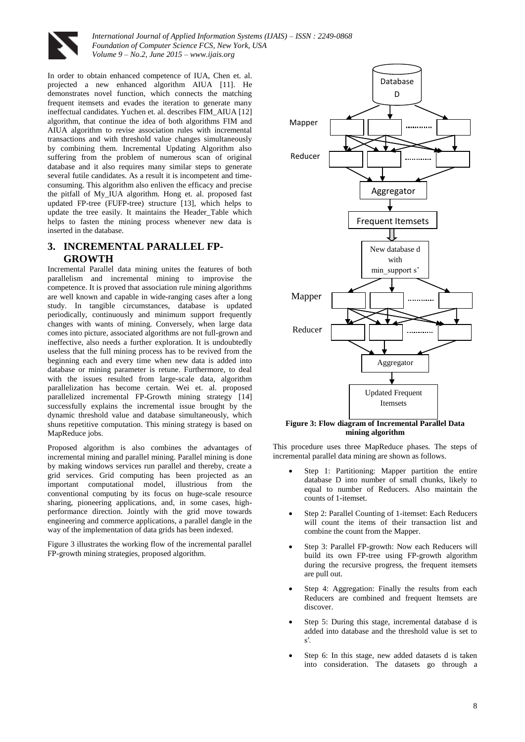

*International Journal of Applied Information Systems (IJAIS) – ISSN : 2249-0868 Foundation of Computer Science FCS, New York, USA Volume 9 – No.2, June 2015 – www.ijais.org*

In order to obtain enhanced competence of IUA, Chen et. al. projected a new enhanced algorithm AIUA [11]. He demonstrates novel function, which connects the matching frequent itemsets and evades the iteration to generate many ineffectual candidates. Yuchen et. al. describes FIM\_AIUA [12] algorithm, that continue the idea of both algorithms FIM and AIUA algorithm to revise association rules with incremental transactions and with threshold value changes simultaneously by combining them. Incremental Updating Algorithm also suffering from the problem of numerous scan of original database and it also requires many similar steps to generate several futile candidates. As a result it is incompetent and timeconsuming. This algorithm also enliven the efficacy and precise the pitfall of My\_IUA algorithm. Hong et. al. proposed fast updated FP-tree (FUFP-tree) structure [13], which helps to update the tree easily. It maintains the Header\_Table which helps to fasten the mining process whenever new data is inserted in the database.

# **3. INCREMENTAL PARALLEL FP-GROWTH**

Incremental Parallel data mining unites the features of both parallelism and incremental mining to improvise the competence. It is proved that association rule mining algorithms are well known and capable in wide-ranging cases after a long study. In tangible circumstances, database is updated periodically, continuously and minimum support frequently changes with wants of mining. Conversely, when large data comes into picture, associated algorithms are not full-grown and ineffective, also needs a further exploration. It is undoubtedly useless that the full mining process has to be revived from the beginning each and every time when new data is added into database or mining parameter is retune. Furthermore, to deal with the issues resulted from large-scale data, algorithm parallelization has become certain. Wei et. al. proposed parallelized incremental FP-Growth mining strategy [14] successfully explains the incremental issue brought by the dynamic threshold value and database simultaneously, which shuns repetitive computation. This mining strategy is based on MapReduce jobs.

Proposed algorithm is also combines the advantages of incremental mining and parallel mining. Parallel mining is done by making windows services run parallel and thereby, create a grid services. Grid computing has been projected as an important computational model, illustrious from the conventional computing by its focus on huge-scale resource sharing, pioneering applications, and, in some cases, highperformance direction. Jointly with the grid move towards engineering and commerce applications, a parallel dangle in the way of the implementation of data grids has been indexed.

Figure 3 illustrates the working flow of the incremental parallel FP-growth mining strategies, proposed algorithm.



**Figure 3: Flow diagram of Incremental Parallel Data mining algorithm**

This procedure uses three MapReduce phases. The steps of incremental parallel data mining are shown as follows.

- Step 1: Partitioning: Mapper partition the entire database D into number of small chunks, likely to equal to number of Reducers. Also maintain the counts of 1-itemset.
- Step 2: Parallel Counting of 1-itemset: Each Reducers will count the items of their transaction list and combine the count from the Mapper.
- Step 3: Parallel FP-growth: Now each Reducers will build its own FP-tree using FP-growth algorithm during the recursive progress, the frequent itemsets are pull out.
- Step 4: Aggregation: Finally the results from each Reducers are combined and frequent Itemsets are discover.
- Step 5: During this stage, incremental database d is added into database and the threshold value is set to s′.
- Step 6: In this stage, new added datasets d is taken into consideration. The datasets go through a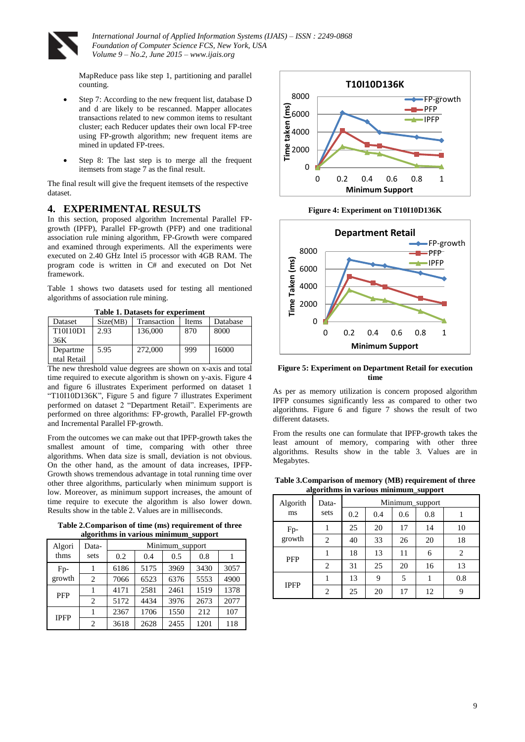

ntal Retail

*International Journal of Applied Information Systems (IJAIS) – ISSN : 2249-0868 Foundation of Computer Science FCS, New York, USA Volume 9 – No.2, June 2015 – www.ijais.org*

MapReduce pass like step 1, partitioning and parallel counting.

- Step 7: According to the new frequent list, database D and d are likely to be rescanned. Mapper allocates transactions related to new common items to resultant cluster; each Reducer updates their own local FP-tree using FP-growth algorithm; new frequent items are mined in updated FP-trees.
- Step 8: The last step is to merge all the frequent itemsets from stage 7 as the final result.

The final result will give the frequent itemsets of the respective dataset.

## **4. EXPERIMENTAL RESULTS**

In this section, proposed algorithm Incremental Parallel FPgrowth (IPFP), Parallel FP-growth (PFP) and one traditional association rule mining algorithm, FP-Growth were compared and examined through experiments. All the experiments were executed on 2.40 GHz Intel i5 processor with 4GB RAM. The program code is written in C# and executed on Dot Net framework.

Table 1 shows two datasets used for testing all mentioned algorithms of association rule mining.

| Tadie 1. Datasets for experiment |          |             |              |          |  |  |
|----------------------------------|----------|-------------|--------------|----------|--|--|
| Dataset                          | Size(MB) | Transaction | <b>Items</b> | Database |  |  |
| T10I10D1                         | 2.93     | 136,000     | 870          | 8000     |  |  |
| 36K                              |          |             |              |          |  |  |
| Departme                         | 5.95     | 272,000     | 999          | 16000    |  |  |

**Table 1. Datasets for experiment**

The new threshold value degrees are shown on x-axis and total time required to execute algorithm is shown on y-axis. Figure 4 and figure 6 illustrates Experiment performed on dataset 1 "T10I10D136K", Figure 5 and figure 7 illustrates Experiment performed on dataset 2 "Department Retail". Experiments are performed on three algorithms: FP-growth, Parallel FP-growth and Incremental Parallel FP-growth.

From the outcomes we can make out that IPFP-growth takes the smallest amount of time, comparing with other three algorithms. When data size is small, deviation is not obvious. On the other hand, as the amount of data increases, IPFP-Growth shows tremendous advantage in total running time over other three algorithms, particularly when minimum support is low. Moreover, as minimum support increases, the amount of time require to execute the algorithm is also lower down. Results show in the table 2. Values are in milliseconds.

**Table 2.Comparison of time (ms) requirement of three algorithms in various minimum\_support**

| Algori<br>thms | Data-<br>sets  | Minimum support |      |      |      |      |
|----------------|----------------|-----------------|------|------|------|------|
|                |                | 0.2             | 0.4  | 0.5  | 0.8  |      |
| Fp-<br>growth  |                | 6186            | 5175 | 3969 | 3430 | 3057 |
|                | $\overline{c}$ | 7066            | 6523 | 6376 | 5553 | 4900 |
| <b>PFP</b>     |                | 4171            | 2581 | 2461 | 1519 | 1378 |
|                | $\overline{c}$ | 5172            | 4434 | 3976 | 2673 | 2077 |
| <b>IPFP</b>    |                | 2367            | 1706 | 1550 | 212  | 107  |
|                | $\mathfrak{D}$ | 3618            | 2628 | 2455 | 1201 | 118  |



**Figure 4: Experiment on T10I10D136K**



**Figure 5: Experiment on Department Retail for execution time**

As per as memory utilization is concern proposed algorithm IPFP consumes significantly less as compared to other two algorithms. Figure 6 and figure 7 shows the result of two different datasets.

From the results one can formulate that IPFP-growth takes the least amount of memory, comparing with other three algorithms. Results show in the table 3. Values are in Megabytes.

| Table 3. Comparison of memory (MB) requirement of three |
|---------------------------------------------------------|
| algorithms in various minimum support                   |

| Algorith      | Data-<br>sets  | Minimum_support |     |     |     |     |
|---------------|----------------|-----------------|-----|-----|-----|-----|
| ms            |                | 0.2             | 0.4 | 0.6 | 0.8 |     |
| Fp-<br>growth |                | 25              | 20  | 17  | 14  | 10  |
|               | 2              | 40              | 33  | 26  | 20  | 18  |
| <b>PFP</b>    |                | 18              | 13  | 11  | 6   | 2   |
|               | 2              | 31              | 25  | 20  | 16  | 13  |
| <b>IPFP</b>   |                | 13              | 9   | 5   |     | 0.8 |
|               | $\overline{c}$ | 25              | 20  | 17  | 12  | 9   |